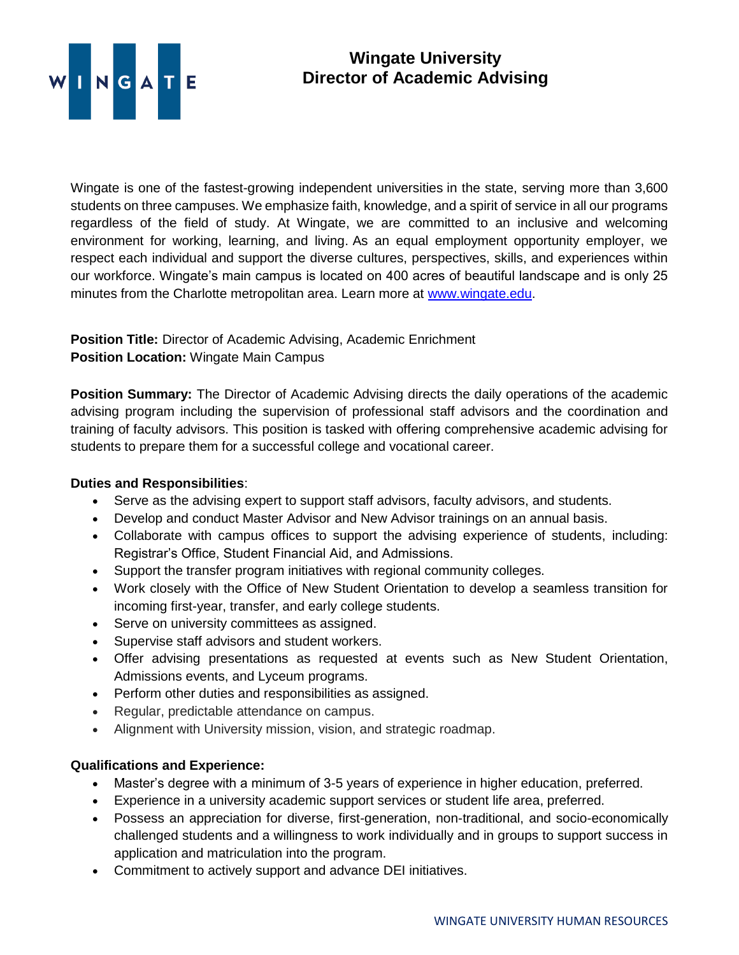

## **Wingate University Director of Academic Advising**

Wingate is one of the fastest-growing independent universities in the state, serving more than 3,600 students on three campuses. We emphasize faith, knowledge, and a spirit of service in all our programs regardless of the field of study. At Wingate, we are committed to an inclusive and welcoming environment for working, learning, and living. As an equal employment opportunity employer, we respect each individual and support the diverse cultures, perspectives, skills, and experiences within our workforce. Wingate's main campus is located on 400 acres of beautiful landscape and is only 25 minutes from the Charlotte metropolitan area. Learn more at [www.wingate.edu.](http://www.wingate/edu)

## **Position Title:** Director of Academic Advising, Academic Enrichment **Position Location:** Wingate Main Campus

**Position Summary:** The Director of Academic Advising directs the daily operations of the academic advising program including the supervision of professional staff advisors and the coordination and training of faculty advisors. This position is tasked with offering comprehensive academic advising for students to prepare them for a successful college and vocational career.

## **Duties and Responsibilities**:

- Serve as the advising expert to support staff advisors, faculty advisors, and students.
- Develop and conduct Master Advisor and New Advisor trainings on an annual basis.
- Collaborate with campus offices to support the advising experience of students, including: Registrar's Office, Student Financial Aid, and Admissions.
- Support the transfer program initiatives with regional community colleges.
- Work closely with the Office of New Student Orientation to develop a seamless transition for incoming first-year, transfer, and early college students.
- Serve on university committees as assigned.
- Supervise staff advisors and student workers.
- Offer advising presentations as requested at events such as New Student Orientation, Admissions events, and Lyceum programs.
- Perform other duties and responsibilities as assigned.
- Regular, predictable attendance on campus.
- Alignment with University mission, vision, and strategic roadmap.

## **Qualifications and Experience:**

- Master's degree with a minimum of 3-5 years of experience in higher education, preferred.
- Experience in a university academic support services or student life area, preferred.
- Possess an appreciation for diverse, first-generation, non-traditional, and socio-economically challenged students and a willingness to work individually and in groups to support success in application and matriculation into the program.
- Commitment to actively support and advance DEI initiatives.